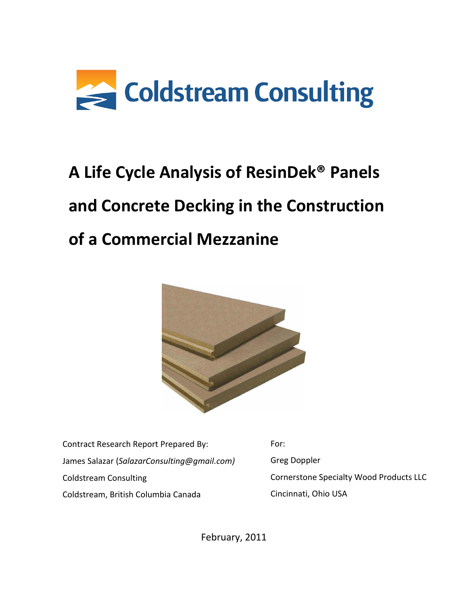

# **A Life Cycle Analysis of ResinDek® Panels and Concrete Decking in the Construction of a Commercial Mezzanine**



Contract Research Report Prepared By: James Salazar (*SalazarConsulting@gmail.com)* Coldstream Consulting Coldstream, British Columbia Canada

For: Greg Doppler Cornerstone Specialty Wood Products LLC Cincinnati, Ohio USA

February, 2011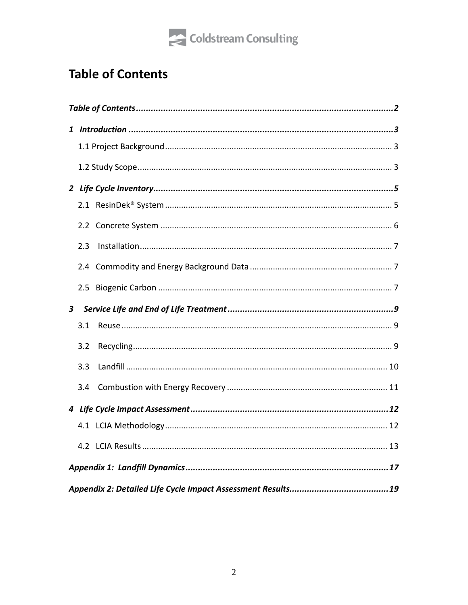

# <span id="page-1-0"></span>**Table of Contents**

|                | 2.3 |  |
|----------------|-----|--|
|                |     |  |
|                |     |  |
| 3 <sup>7</sup> |     |  |
|                | 3.1 |  |
|                | 3.2 |  |
|                | 3.3 |  |
|                | 3.4 |  |
|                |     |  |
|                |     |  |
|                |     |  |
|                |     |  |
|                |     |  |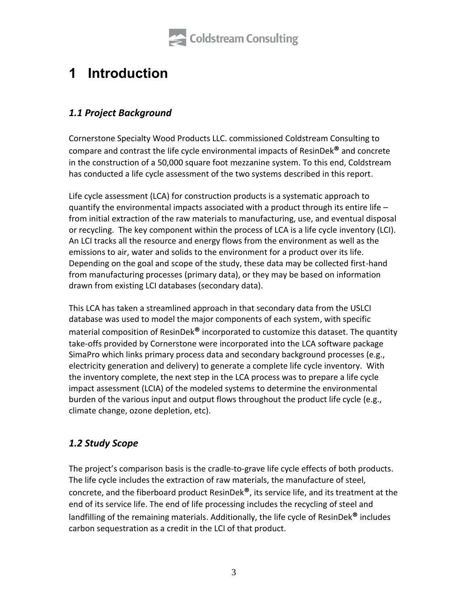

# <span id="page-2-0"></span>**1 Introduction**

# <span id="page-2-1"></span>*1.1 Project Background*

Cornerstone Specialty Wood Products LLC. commissioned Coldstream Consulting to compare and contrast the life cycle environmental impacts of ResinDek**®** and concrete in the construction of a 50,000 square foot mezzanine system. To this end, Coldstream has conducted a life cycle assessment of the two systems described in this report.

Life cycle assessment (LCA) for construction products is a systematic approach to quantify the environmental impacts associated with a product through its entire life – from initial extraction of the raw materials to manufacturing, use, and eventual disposal or recycling. The key component within the process of LCA is a life cycle inventory (LCI). An LCI tracks all the resource and energy flows from the environment as well as the emissions to air, water and solids to the environment for a product over its life. Depending on the goal and scope of the study, these data may be collected first-hand from manufacturing processes (primary data), or they may be based on information drawn from existing LCI databases (secondary data).

This LCA has taken a streamlined approach in that secondary data from the USLCI database was used to model the major components of each system, with specific material composition of ResinDek**®** incorporated to customize this dataset. The quantity take-offs provided by Cornerstone were incorporated into the LCA software package SimaPro which links primary process data and secondary background processes (e.g., electricity generation and delivery) to generate a complete life cycle inventory. With the inventory complete, the next step in the LCA process was to prepare a life cycle impact assessment (LCIA) of the modeled systems to determine the environmental burden of the various input and output flows throughout the product life cycle (e.g., climate change, ozone depletion, etc).

### <span id="page-2-2"></span>*1.2 Study Scope*

The project's comparison basis is the cradle-to-grave life cycle effects of both products. The life cycle includes the extraction of raw materials, the manufacture of steel, concrete, and the fiberboard product ResinDek**®**, its service life, and its treatment at the end of its service life. The end of life processing includes the recycling of steel and landfilling of the remaining materials. Additionally, the life cycle of ResinDek**®** includes carbon sequestration as a credit in the LCI of that product.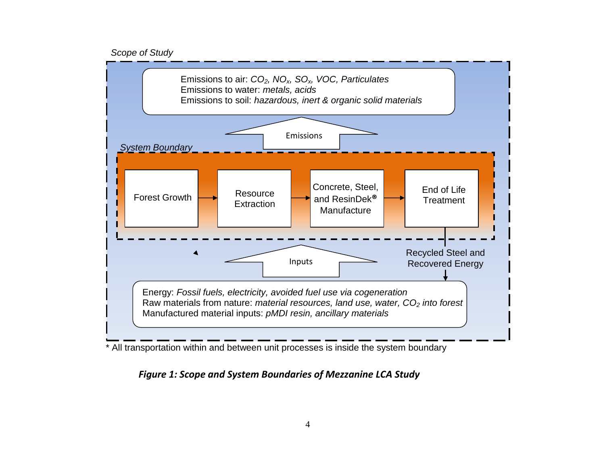#### *Scope of Study*



\* All transportation within and between unit processes is inside the system boundary

### *Figure 1: Scope and System Boundaries of Mezzanine LCA Study*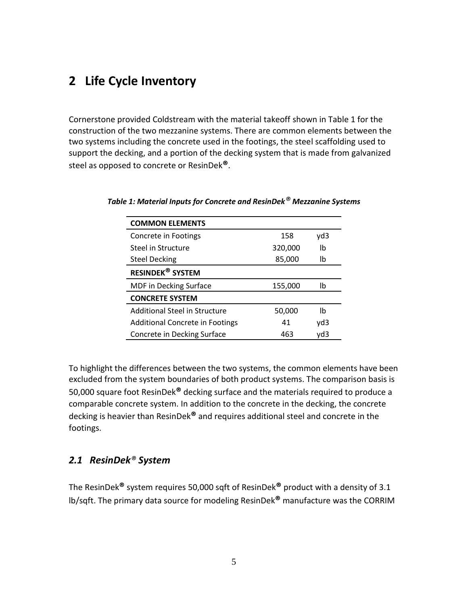# <span id="page-4-0"></span>**2 Life Cycle Inventory**

Cornerstone provided Coldstream with the material takeoff shown in Table 1 for the construction of the two mezzanine systems. There are common elements between the two systems including the concrete used in the footings, the steel scaffolding used to support the decking, and a portion of the decking system that is made from galvanized steel as opposed to concrete or ResinDek**®**.

| <b>COMMON ELEMENTS</b>                 |         |     |
|----------------------------------------|---------|-----|
| Concrete in Footings                   | 158     | yd3 |
| Steel in Structure                     | 320,000 | lb  |
| <b>Steel Decking</b>                   | 85,000  | lb  |
| <b>RESINDEK<sup>®</sup> SYSTEM</b>     |         |     |
| <b>MDF</b> in Decking Surface          | 155,000 | lb  |
| <b>CONCRETE SYSTEM</b>                 |         |     |
| <b>Additional Steel in Structure</b>   | 50,000  | lb  |
| <b>Additional Concrete in Footings</b> | 41      | yd3 |
| Concrete in Decking Surface            | 463     | yd3 |

*Table 1: Material Inputs for Concrete and ResinDek® Mezzanine Systems*

To highlight the differences between the two systems, the common elements have been excluded from the system boundaries of both product systems. The comparison basis is 50,000 square foot ResinDek**®** decking surface and the materials required to produce a comparable concrete system. In addition to the concrete in the decking, the concrete decking is heavier than ResinDek**®** and requires additional steel and concrete in the footings.

### <span id="page-4-1"></span>*2.1 ResinDek® System*

The ResinDek**®** system requires 50,000 sqft of ResinDek**®** product with a density of 3.1 lb/sqft. The primary data source for modeling ResinDek**®** manufacture was the CORRIM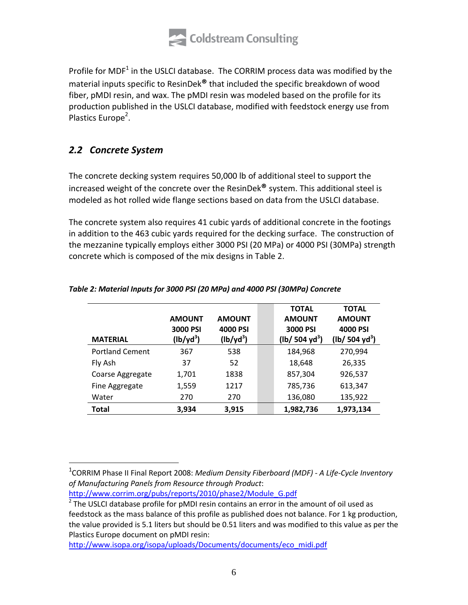

Profile for MDF<sup>1</sup> in the USLCI database. The CORRIM process data was modified by the material inputs specific to ResinDek**®** that included the specific breakdown of wood fiber, pMDI resin, and wax. The pMDI resin was modeled based on the profile for its production published in the USLCI database, modified with feedstock energy use from Plastics Europe<sup>2</sup>.

### <span id="page-5-0"></span>*2.2 Concrete System*

 $\overline{a}$ 

The concrete decking system requires 50,000 lb of additional steel to support the increased weight of the concrete over the ResinDek**®** system. This additional steel is modeled as hot rolled wide flange sections based on data from the USLCI database.

The concrete system also requires 41 cubic yards of additional concrete in the footings in addition to the 463 cubic yards required for the decking surface. The construction of the mezzanine typically employs either 3000 PSI (20 MPa) or 4000 PSI (30MPa) strength concrete which is composed of the mix designs in Table 2.

| <b>MATERIAL</b>        | <b>AMOUNT</b><br>3000 PSI<br>$(lb/yd^3)$ | <b>AMOUNT</b><br>4000 PSI<br>$(lb/yd^3)$ | <b>TOTAL</b><br><b>AMOUNT</b><br>3000 PSI<br>$(lb/504 yd^3)$ | <b>TOTAL</b><br><b>AMOUNT</b><br>4000 PSI<br>$(lb/504 yd^3)$ |
|------------------------|------------------------------------------|------------------------------------------|--------------------------------------------------------------|--------------------------------------------------------------|
| <b>Portland Cement</b> | 367                                      | 538                                      | 184,968                                                      | 270,994                                                      |
| Fly Ash                | 37                                       | 52                                       | 18,648                                                       | 26,335                                                       |
| Coarse Aggregate       | 1,701                                    | 1838                                     | 857,304                                                      | 926,537                                                      |
| Fine Aggregate         | 1,559                                    | 1217                                     | 785,736                                                      | 613,347                                                      |
| Water                  | 270                                      | 270                                      | 136,080                                                      | 135,922                                                      |
| Total                  | 3,934                                    | 3,915                                    | 1,982,736                                                    | 1,973,134                                                    |

#### *Table 2: Material Inputs for 3000 PSI (20 MPa) and 4000 PSI (30MPa) Concrete*

1 CORRIM Phase II Final Report 2008: *Medium Density Fiberboard (MDF) - A Life-Cycle Inventory of Manufacturing Panels from Resource through Product*:

http://www.corrim.org/pubs/reports/2010/phase2/Module\_G.pdf

http://www.isopa.org/isopa/uploads/Documents/documents/eco\_midi.pdf

 $2$  The USLCI database profile for pMDI resin contains an error in the amount of oil used as feedstock as the mass balance of this profile as published does not balance. For 1 kg production, the value provided is 5.1 liters but should be 0.51 liters and was modified to this value as per the Plastics Europe document on pMDI resin: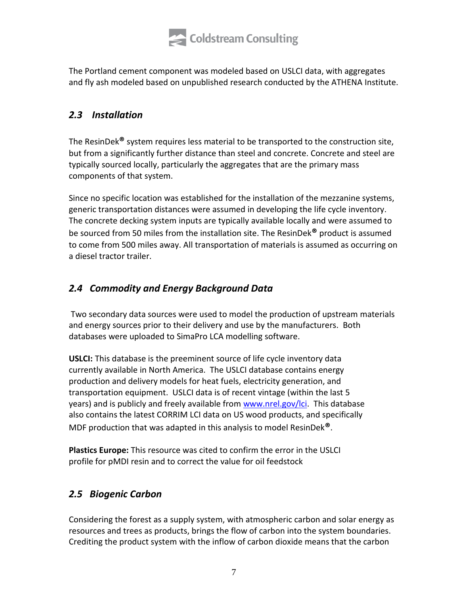

The Portland cement component was modeled based on USLCI data, with aggregates and fly ash modeled based on unpublished research conducted by the ATHENA Institute.

# <span id="page-6-0"></span>*2.3 Installation*

The ResinDek**®** system requires less material to be transported to the construction site, but from a significantly further distance than steel and concrete. Concrete and steel are typically sourced locally, particularly the aggregates that are the primary mass components of that system.

Since no specific location was established for the installation of the mezzanine systems, generic transportation distances were assumed in developing the life cycle inventory. The concrete decking system inputs are typically available locally and were assumed to be sourced from 50 miles from the installation site. The ResinDek**®** product is assumed to come from 500 miles away. All transportation of materials is assumed as occurring on a diesel tractor trailer.

# <span id="page-6-1"></span>*2.4 Commodity and Energy Background Data*

Two secondary data sources were used to model the production of upstream materials and energy sources prior to their delivery and use by the manufacturers. Both databases were uploaded to SimaPro LCA modelling software.

**USLCI:** This database is the preeminent source of life cycle inventory data currently available in North America. The USLCI database contains energy production and delivery models for heat fuels, electricity generation, and transportation equipment. USLCI data is of recent vintage (within the last 5 years) and is publicly and freely available from www.nrel.gov/lci. This database also contains the latest CORRIM LCI data on US wood products, and specifically MDF production that was adapted in this analysis to model ResinDek**®**.

**Plastics Europe:** This resource was cited to confirm the error in the USLCI profile for pMDI resin and to correct the value for oil feedstock

### <span id="page-6-2"></span>*2.5 Biogenic Carbon*

Considering the forest as a supply system, with atmospheric carbon and solar energy as resources and trees as products, brings the flow of carbon into the system boundaries. Crediting the product system with the inflow of carbon dioxide means that the carbon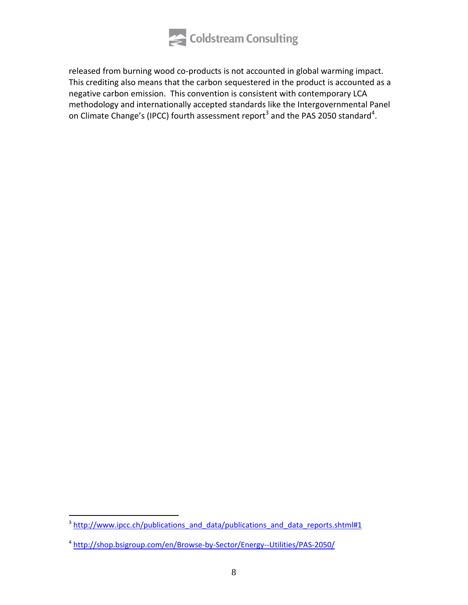

released from burning wood co-products is not accounted in global warming impact. This crediting also means that the carbon sequestered in the product is accounted as a negative carbon emission. This convention is consistent with contemporary LCA methodology and internationally accepted standards like the Intergovernmental Panel on Climate Change's (IPCC) fourth assessment report<sup>3</sup> and the PAS 2050 standard<sup>4</sup>.

<sup>&</sup>lt;sup>3</sup> http://www.ipcc.ch/publications\_and\_data/publications\_and\_data\_reports.shtml#1

<sup>4</sup> http://shop.bsigroup.com/en/Browse-by-Sector/Energy--Utilities/PAS-2050/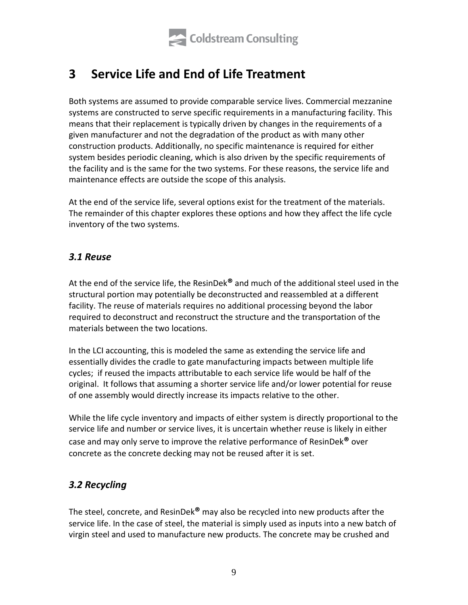

# <span id="page-8-0"></span>**3 Service Life and End of Life Treatment**

Both systems are assumed to provide comparable service lives. Commercial mezzanine systems are constructed to serve specific requirements in a manufacturing facility. This means that their replacement is typically driven by changes in the requirements of a given manufacturer and not the degradation of the product as with many other construction products. Additionally, no specific maintenance is required for either system besides periodic cleaning, which is also driven by the specific requirements of the facility and is the same for the two systems. For these reasons, the service life and maintenance effects are outside the scope of this analysis.

At the end of the service life, several options exist for the treatment of the materials. The remainder of this chapter explores these options and how they affect the life cycle inventory of the two systems.

### <span id="page-8-1"></span>*3.1 Reuse*

At the end of the service life, the ResinDek**®** and much of the additional steel used in the structural portion may potentially be deconstructed and reassembled at a different facility. The reuse of materials requires no additional processing beyond the labor required to deconstruct and reconstruct the structure and the transportation of the materials between the two locations.

In the LCI accounting, this is modeled the same as extending the service life and essentially divides the cradle to gate manufacturing impacts between multiple life cycles; if reused the impacts attributable to each service life would be half of the original. It follows that assuming a shorter service life and/or lower potential for reuse of one assembly would directly increase its impacts relative to the other.

While the life cycle inventory and impacts of either system is directly proportional to the service life and number or service lives, it is uncertain whether reuse is likely in either case and may only serve to improve the relative performance of ResinDek**®** over concrete as the concrete decking may not be reused after it is set.

### <span id="page-8-2"></span>*3.2 Recycling*

The steel, concrete, and ResinDek**®** may also be recycled into new products after the service life. In the case of steel, the material is simply used as inputs into a new batch of virgin steel and used to manufacture new products. The concrete may be crushed and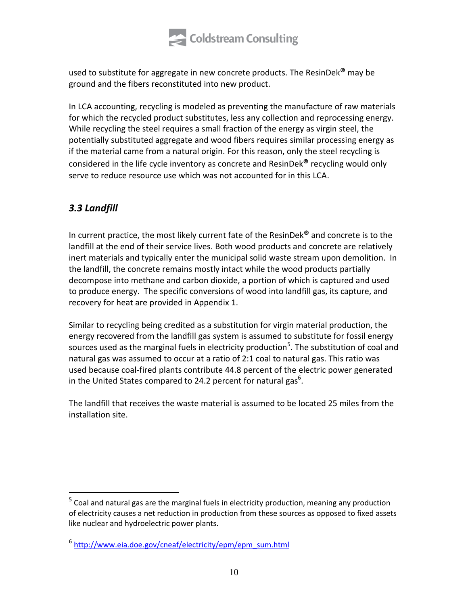

used to substitute for aggregate in new concrete products. The ResinDek**®** may be ground and the fibers reconstituted into new product.

In LCA accounting, recycling is modeled as preventing the manufacture of raw materials for which the recycled product substitutes, less any collection and reprocessing energy. While recycling the steel requires a small fraction of the energy as virgin steel, the potentially substituted aggregate and wood fibers requires similar processing energy as if the material came from a natural origin. For this reason, only the steel recycling is considered in the life cycle inventory as concrete and ResinDek**®** recycling would only serve to reduce resource use which was not accounted for in this LCA.

# <span id="page-9-0"></span>*3.3 Landfill*

 $\overline{a}$ 

In current practice, the most likely current fate of the ResinDek**®** and concrete is to the landfill at the end of their service lives. Both wood products and concrete are relatively inert materials and typically enter the municipal solid waste stream upon demolition. In the landfill, the concrete remains mostly intact while the wood products partially decompose into methane and carbon dioxide, a portion of which is captured and used to produce energy. The specific conversions of wood into landfill gas, its capture, and recovery for heat are provided in Appendix 1.

Similar to recycling being credited as a substitution for virgin material production, the energy recovered from the landfill gas system is assumed to substitute for fossil energy sources used as the marginal fuels in electricity production<sup>5</sup>. The substitution of coal and natural gas was assumed to occur at a ratio of 2:1 coal to natural gas. This ratio was used because coal-fired plants contribute 44.8 percent of the electric power generated in the United States compared to 24.2 percent for natural gas<sup>6</sup>.

The landfill that receives the waste material is assumed to be located 25 miles from the installation site.

<sup>&</sup>lt;sup>5</sup> Coal and natural gas are the marginal fuels in electricity production, meaning any production of electricity causes a net reduction in production from these sources as opposed to fixed assets like nuclear and hydroelectric power plants.

<sup>&</sup>lt;sup>6</sup> http://www.eia.doe.gov/cneaf/electricity/epm/epm\_sum.html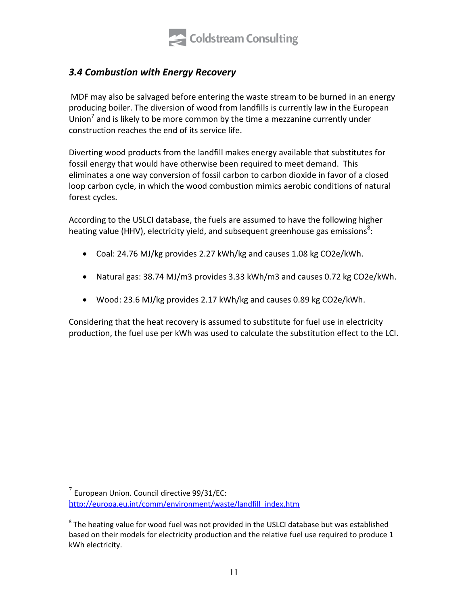

# <span id="page-10-0"></span>*3.4 Combustion with Energy Recovery*

MDF may also be salvaged before entering the waste stream to be burned in an energy producing boiler. The diversion of wood from landfills is currently law in the European Union<sup>7</sup> and is likely to be more common by the time a mezzanine currently under construction reaches the end of its service life.

Diverting wood products from the landfill makes energy available that substitutes for fossil energy that would have otherwise been required to meet demand. This eliminates a one way conversion of fossil carbon to carbon dioxide in favor of a closed loop carbon cycle, in which the wood combustion mimics aerobic conditions of natural forest cycles.

According to the USLCI database, the fuels are assumed to have the following higher heating value (HHV), electricity yield, and subsequent greenhouse gas emissions<sup>8</sup>:

- Coal: 24.76 MJ/kg provides 2.27 kWh/kg and causes 1.08 kg CO2e/kWh.
- Natural gas: 38.74 MJ/m3 provides 3.33 kWh/m3 and causes 0.72 kg CO2e/kWh.
- Wood: 23.6 MJ/kg provides 2.17 kWh/kg and causes 0.89 kg CO2e/kWh.

Considering that the heat recovery is assumed to substitute for fuel use in electricity production, the fuel use per kWh was used to calculate the substitution effect to the LCI.

 $\overline{a}$  $^7$  European Union. Council directive 99/31/EC: http://europa.eu.int/comm/environment/waste/landfill\_index.htm

 $8$  The heating value for wood fuel was not provided in the USLCI database but was established based on their models for electricity production and the relative fuel use required to produce 1 kWh electricity.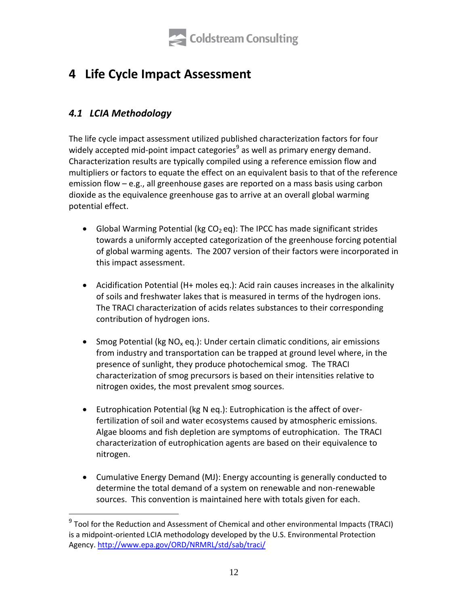

# <span id="page-11-0"></span>**4 Life Cycle Impact Assessment**

# <span id="page-11-1"></span>*4.1 LCIA Methodology*

 $\overline{a}$ 

The life cycle impact assessment utilized published characterization factors for four widely accepted mid-point impact categories<sup>9</sup> as well as primary energy demand. Characterization results are typically compiled using a reference emission flow and multipliers or factors to equate the effect on an equivalent basis to that of the reference emission flow – e.g., all greenhouse gases are reported on a mass basis using carbon dioxide as the equivalence greenhouse gas to arrive at an overall global warming potential effect.

- Global Warming Potential (kg  $CO<sub>2</sub>$  eq): The IPCC has made significant strides towards a uniformly accepted categorization of the greenhouse forcing potential of global warming agents. The 2007 version of their factors were incorporated in this impact assessment.
- Acidification Potential (H+ moles eq.): Acid rain causes increases in the alkalinity of soils and freshwater lakes that is measured in terms of the hydrogen ions. The TRACI characterization of acids relates substances to their corresponding contribution of hydrogen ions.
- Smog Potential (kg  $NO_x$  eq.): Under certain climatic conditions, air emissions from industry and transportation can be trapped at ground level where, in the presence of sunlight, they produce photochemical smog. The TRACI characterization of smog precursors is based on their intensities relative to nitrogen oxides, the most prevalent smog sources.
- Eutrophication Potential (kg N eq.): Eutrophication is the affect of overfertilization of soil and water ecosystems caused by atmospheric emissions. Algae blooms and fish depletion are symptoms of eutrophication. The TRACI characterization of eutrophication agents are based on their equivalence to nitrogen.
- Cumulative Energy Demand (MJ): Energy accounting is generally conducted to determine the total demand of a system on renewable and non-renewable sources. This convention is maintained here with totals given for each.

<sup>&</sup>lt;sup>9</sup> Tool for the Reduction and Assessment of Chemical and other environmental Impacts (TRACI) is a midpoint-oriented LCIA methodology developed by the U.S. Environmental Protection Agency. http://www.epa.gov/ORD/NRMRL/std/sab/traci/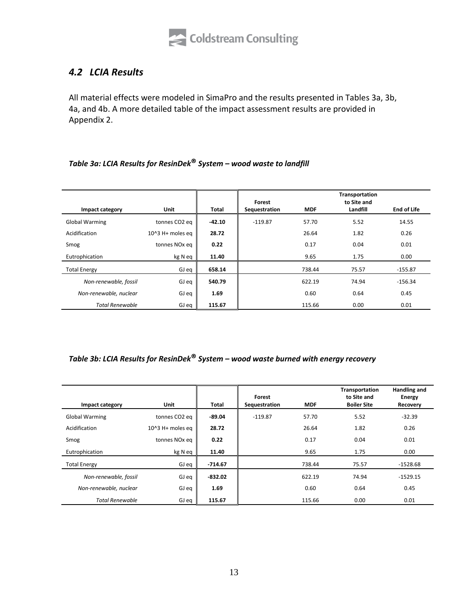

### <span id="page-12-0"></span>*4.2 LCIA Results*

All material effects were modeled in SimaPro and the results presented in Tables 3a, 3b, 4a, and 4b. A more detailed table of the impact assessment results are provided in Appendix 2.

### *Table 3a: LCIA Results for ResinDek***®** *System – wood waste to landfill*

| Impact category        | Unit                      | <b>Total</b> | Forest<br>Sequestration | <b>MDF</b> | <b>Transportation</b><br>to Site and<br>Landfill | <b>End of Life</b> |
|------------------------|---------------------------|--------------|-------------------------|------------|--------------------------------------------------|--------------------|
| <b>Global Warming</b>  | tonnes CO2 eq             | $-42.10$     | $-119.87$               | 57.70      | 5.52                                             | 14.55              |
| Acidification          | $104$ 3 H+ moles eq       | 28.72        |                         | 26.64      | 1.82                                             | 0.26               |
| Smog                   | tonnes NO <sub>x</sub> eq | 0.22         |                         | 0.17       | 0.04                                             | 0.01               |
| Eutrophication         | kg N eq                   | 11.40        |                         | 9.65       | 1.75                                             | 0.00               |
| <b>Total Energy</b>    | GJ eq                     | 658.14       |                         | 738.44     | 75.57                                            | $-155.87$          |
| Non-renewable, fossil  | GJ eq                     | 540.79       |                         | 622.19     | 74.94                                            | $-156.34$          |
| Non-renewable, nuclear | GJ eq                     | 1.69         |                         | 0.60       | 0.64                                             | 0.45               |
| <b>Total Renewable</b> | GJ eq                     | 115.67       |                         | 115.66     | 0.00                                             | 0.01               |

### *Table 3b: LCIA Results for ResinDek***®** *System – wood waste burned with energy recovery*

| Impact category        | <b>Unit</b>               | Total     | Forest<br>Sequestration | <b>MDF</b> | Transportation<br>to Site and<br><b>Boiler Site</b> | Handling and<br>Energy<br>Recovery |
|------------------------|---------------------------|-----------|-------------------------|------------|-----------------------------------------------------|------------------------------------|
| <b>Global Warming</b>  | tonnes CO <sub>2</sub> eq | $-89.04$  | $-119.87$               | 57.70      | 5.52                                                | $-32.39$                           |
| Acidification          | $104$ 3 H+ moles eq       | 28.72     |                         | 26.64      | 1.82                                                | 0.26                               |
| Smog                   | tonnes NO <sub>x</sub> eq | 0.22      |                         | 0.17       | 0.04                                                | 0.01                               |
| Eutrophication         | kg N eq                   | 11.40     |                         | 9.65       | 1.75                                                | 0.00                               |
| <b>Total Energy</b>    | GJ eq                     | -714.67   |                         | 738.44     | 75.57                                               | $-1528.68$                         |
| Non-renewable, fossil  | GJ eq                     | $-832.02$ |                         | 622.19     | 74.94                                               | $-1529.15$                         |
| Non-renewable, nuclear | GJ eq                     | 1.69      |                         | 0.60       | 0.64                                                | 0.45                               |
| <b>Total Renewable</b> | GJ eq                     | 115.67    |                         | 115.66     | 0.00                                                | 0.01                               |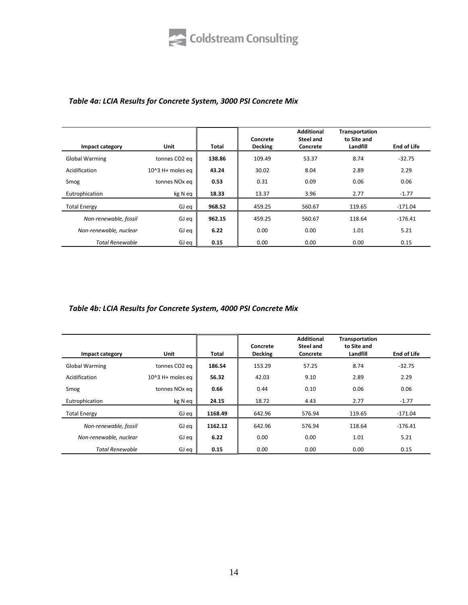#### *Table 4a: LCIA Results for Concrete System, 3000 PSI Concrete Mix*

| Impact category        | <b>Unit</b>               | Total  | Concrete<br><b>Decking</b> | <b>Additional</b><br>Steel and<br>Concrete | <b>Transportation</b><br>to Site and<br>Landfill | <b>End of Life</b> |
|------------------------|---------------------------|--------|----------------------------|--------------------------------------------|--------------------------------------------------|--------------------|
| <b>Global Warming</b>  | tonnes CO2 eq             | 138.86 | 109.49                     | 53.37                                      | 8.74                                             | $-32.75$           |
| Acidification          | $104$ 3 H+ moles eq       | 43.24  | 30.02                      | 8.04                                       | 2.89                                             | 2.29               |
| Smog                   | tonnes NO <sub>x</sub> eq | 0.53   | 0.31                       | 0.09                                       | 0.06                                             | 0.06               |
| Eutrophication         | kg N eq                   | 18.33  | 13.37                      | 3.96                                       | 2.77                                             | $-1.77$            |
| <b>Total Energy</b>    | GJ eq                     | 968.52 | 459.25                     | 560.67                                     | 119.65                                           | $-171.04$          |
| Non-renewable, fossil  | GJ eq                     | 962.15 | 459.25                     | 560.67                                     | 118.64                                           | $-176.41$          |
| Non-renewable, nuclear | GJ eq                     | 6.22   | 0.00                       | 0.00                                       | 1.01                                             | 5.21               |
| <b>Total Renewable</b> | GJ eq                     | 0.15   | 0.00                       | 0.00                                       | 0.00                                             | 0.15               |

### *Table 4b: LCIA Results for Concrete System, 4000 PSI Concrete Mix*

| Impact category        | <b>Unit</b>               | Total   | Concrete<br><b>Decking</b> | <b>Additional</b><br>Steel and<br>Concrete | <b>Transportation</b><br>to Site and<br>Landfill | <b>End of Life</b> |
|------------------------|---------------------------|---------|----------------------------|--------------------------------------------|--------------------------------------------------|--------------------|
| <b>Global Warming</b>  | tonnes CO <sub>2</sub> eq | 186.54  | 153.29                     | 57.25                                      | 8.74                                             | $-32.75$           |
| Acidification          | $104$ 3 H+ moles eq       | 56.32   | 42.03                      | 9.10                                       | 2.89                                             | 2.29               |
| Smog                   | tonnes NO <sub>x</sub> eq | 0.66    | 0.44                       | 0.10                                       | 0.06                                             | 0.06               |
| Eutrophication         | kg N eq                   | 24.15   | 18.72                      | 4.43                                       | 2.77                                             | $-1.77$            |
| <b>Total Energy</b>    | GJ eq                     | 1168.49 | 642.96                     | 576.94                                     | 119.65                                           | $-171.04$          |
| Non-renewable, fossil  | GJ eq                     | 1162.12 | 642.96                     | 576.94                                     | 118.64                                           | $-176.41$          |
| Non-renewable, nuclear | GJ eq                     | 6.22    | 0.00                       | 0.00                                       | 1.01                                             | 5.21               |
| <b>Total Renewable</b> | GJ eq                     | 0.15    | 0.00                       | 0.00                                       | 0.00                                             | 0.15               |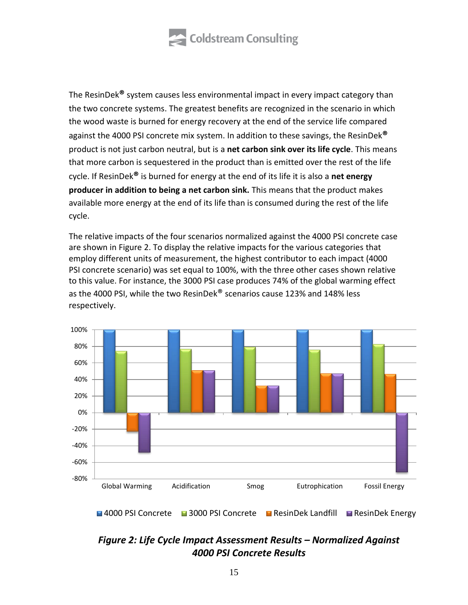

The ResinDek**®** system causes less environmental impact in every impact category than the two concrete systems. The greatest benefits are recognized in the scenario in which the wood waste is burned for energy recovery at the end of the service life compared against the 4000 PSI concrete mix system. In addition to these savings, the ResinDek**®** product is not just carbon neutral, but is a **net carbon sink over its life cycle**. This means that more carbon is sequestered in the product than is emitted over the rest of the life cycle. If ResinDek**®** is burned for energy at the end of its life it is also a **net energy producer in addition to being a net carbon sink.** This means that the product makes available more energy at the end of its life than is consumed during the rest of the life cycle.

The relative impacts of the four scenarios normalized against the 4000 PSI concrete case are shown in Figure 2. To display the relative impacts for the various categories that employ different units of measurement, the highest contributor to each impact (4000 PSI concrete scenario) was set equal to 100%, with the three other cases shown relative to this value. For instance, the 3000 PSI case produces 74% of the global warming effect as the 4000 PSI, while the two ResinDek® scenarios cause 123% and 148% less respectively.



**E 4000 PSI Concrete** 23000 PSI Concrete **ResinDek Landfill Example Energy** 

# *Figure 2: Life Cycle Impact Assessment Results – Normalized Against 4000 PSI Concrete Results*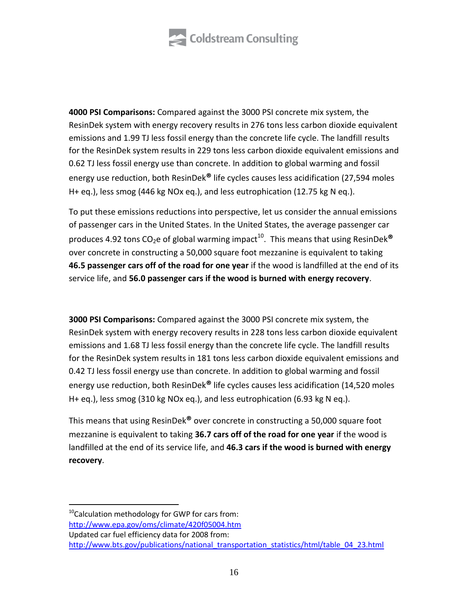

**4000 PSI Comparisons:** Compared against the 3000 PSI concrete mix system, the ResinDek system with energy recovery results in 276 tons less carbon dioxide equivalent emissions and 1.99 TJ less fossil energy than the concrete life cycle. The landfill results for the ResinDek system results in 229 tons less carbon dioxide equivalent emissions and 0.62 TJ less fossil energy use than concrete. In addition to global warming and fossil energy use reduction, both ResinDek**®** life cycles causes less acidification (27,594 moles H+ eq.), less smog (446 kg NOx eq.), and less eutrophication (12.75 kg N eq.).

To put these emissions reductions into perspective, let us consider the annual emissions of passenger cars in the United States. In the United States, the average passenger car produces 4.92 tons CO<sub>2</sub>e of global warming impact<sup>10</sup>. This means that using ResinDek® over concrete in constructing a 50,000 square foot mezzanine is equivalent to taking **46.5 passenger cars off of the road for one year** if the wood is landfilled at the end of its service life, and **56.0 passenger cars if the wood is burned with energy recovery**.

**3000 PSI Comparisons:** Compared against the 3000 PSI concrete mix system, the ResinDek system with energy recovery results in 228 tons less carbon dioxide equivalent emissions and 1.68 TJ less fossil energy than the concrete life cycle. The landfill results for the ResinDek system results in 181 tons less carbon dioxide equivalent emissions and 0.42 TJ less fossil energy use than concrete. In addition to global warming and fossil energy use reduction, both ResinDek**®** life cycles causes less acidification (14,520 moles H+ eq.), less smog (310 kg NOx eq.), and less eutrophication (6.93 kg N eq.).

This means that using ResinDek**®** over concrete in constructing a 50,000 square foot mezzanine is equivalent to taking **36.7 cars off of the road for one year** if the wood is landfilled at the end of its service life, and **46.3 cars if the wood is burned with energy recovery**.

 $\overline{a}$ 

<sup>&</sup>lt;sup>10</sup>Calculation methodology for GWP for cars from: http://www.epa.gov/oms/climate/420f05004.htm Updated car fuel efficiency data for 2008 from: http://www.bts.gov/publications/national\_transportation\_statistics/html/table\_04\_23.html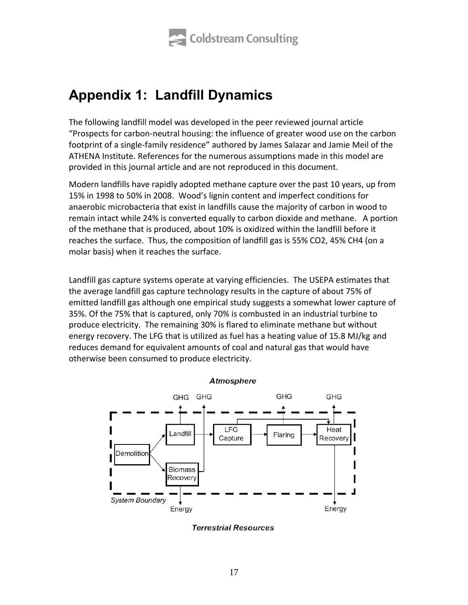

# <span id="page-16-0"></span>**Appendix 1: Landfill Dynamics**

The following landfill model was developed in the peer reviewed journal article "Prospects for carbon-neutral housing: the influence of greater wood use on the carbon footprint of a single-family residence" authored by James Salazar and Jamie Meil of the ATHENA Institute. References for the numerous assumptions made in this model are provided in this journal article and are not reproduced in this document.

Modern landfills have rapidly adopted methane capture over the past 10 years, up from 15% in 1998 to 50% in 2008. Wood's lignin content and imperfect conditions for anaerobic microbacteria that exist in landfills cause the majority of carbon in wood to remain intact while 24% is converted equally to carbon dioxide and methane. A portion of the methane that is produced, about 10% is oxidized within the landfill before it reaches the surface. Thus, the composition of landfill gas is 55% CO2, 45% CH4 (on a molar basis) when it reaches the surface.

Landfill gas capture systems operate at varying efficiencies. The USEPA estimates that the average landfill gas capture technology results in the capture of about 75% of emitted landfill gas although one empirical study suggests a somewhat lower capture of 35%. Of the 75% that is captured, only 70% is combusted in an industrial turbine to produce electricity. The remaining 30% is flared to eliminate methane but without energy recovery. The LFG that is utilized as fuel has a heating value of 15.8 MJ/kg and reduces demand for equivalent amounts of coal and natural gas that would have otherwise been consumed to produce electricity.



#### Atmosphere

**Terrestrial Resources**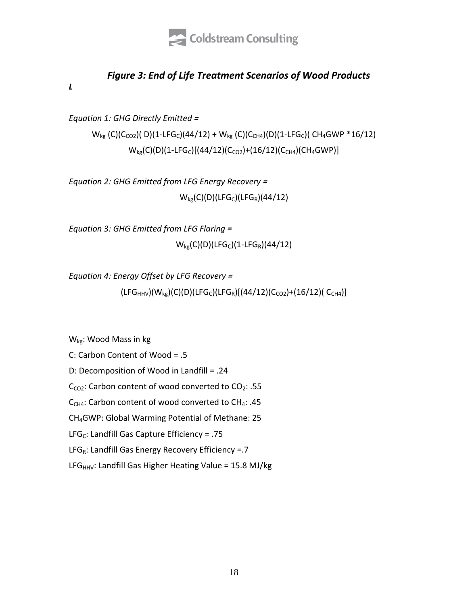

# *Figure 3: End of Life Treatment Scenarios of Wood Products*

*Landfill Dynamics Equations:*

*Equation 1: GHG Directly Emitted =* 

 $W_{kg}$  (C)(C<sub>CO2</sub>)( D)(1-LFG<sub>C</sub>)(44/12) +  $W_{kg}$  (C)(C<sub>CH4</sub>)(D)(1-LFG<sub>C</sub>)( CH<sub>4</sub>GWP \*16/12)  $W_{kg}(C)(D)(1-LFG_C)[(44/12)(C_{CO2})+(16/12)(C_{CH4})(CH_4GWP)]$ 

*Equation 2: GHG Emitted from LFG Energy Recovery =*   $W_{kg}(C)(D)(LFG_C)(LFG_R)(44/12)$ 

*Equation 3: GHG Emitted from LFG Flaring =*   $W_{kg}(C)(D)(LFG_C)(1-LFG_R)(44/12)$ 

*Equation 4: Energy Offset by LFG Recovery =*

 $(LFG<sub>HHV</sub>)(W<sub>kg</sub>)(C)(D)(LFG<sub>C</sub>)(LFG<sub>R</sub>)[(44/12)(C<sub>CO2</sub>)+(16/12)( C<sub>CH4</sub>)]$ 

Wkg: Wood Mass in kg

C: Carbon Content of Wood = .5 D: Decomposition of Wood in Landfill = .24  $C<sub>CO2</sub>$ : Carbon content of wood converted to  $CO<sub>2</sub>$ : .55  $C_{CH4}$ : Carbon content of wood converted to CH<sub>4</sub>: .45 CH4GWP: Global Warming Potential of Methane: 25 LFG<sub>C</sub>: Landfill Gas Capture Efficiency = .75 LFG<sub>R</sub>: Landfill Gas Energy Recovery Efficiency =.7

LFG $_{HHV}$ : Landfill Gas Higher Heating Value = 15.8 MJ/kg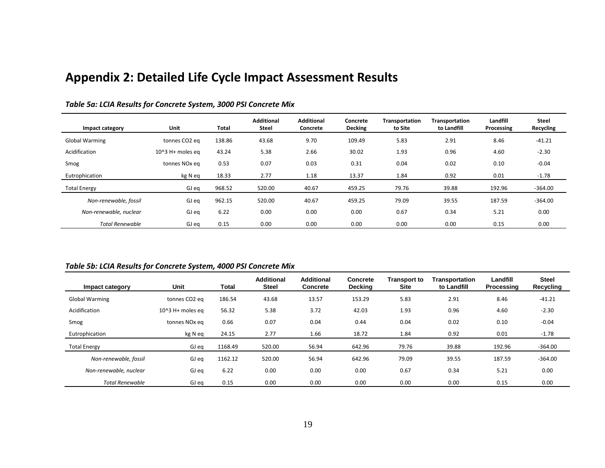# **Appendix 2: Detailed Life Cycle Impact Assessment Results**

| Impact category        | Unit                      | <b>Total</b> | <b>Additional</b><br><b>Steel</b> | <b>Additional</b><br>Concrete | Concrete<br><b>Decking</b> | Transportation<br>to Site | <b>Transportation</b><br>to Landfill | Landfill<br>Processing | <b>Steel</b><br>Recycling |
|------------------------|---------------------------|--------------|-----------------------------------|-------------------------------|----------------------------|---------------------------|--------------------------------------|------------------------|---------------------------|
| <b>Global Warming</b>  | tonnes CO2 eg             | 138.86       | 43.68                             | 9.70                          | 109.49                     | 5.83                      | 2.91                                 | 8.46                   | $-41.21$                  |
| Acidification          | 10^3 H+ moles eq          | 43.24        | 5.38                              | 2.66                          | 30.02                      | 1.93                      | 0.96                                 | 4.60                   | $-2.30$                   |
| Smog                   | tonnes NO <sub>x</sub> eq | 0.53         | 0.07                              | 0.03                          | 0.31                       | 0.04                      | 0.02                                 | 0.10                   | $-0.04$                   |
| Eutrophication         | kg N eq                   | 18.33        | 2.77                              | 1.18                          | 13.37                      | 1.84                      | 0.92                                 | 0.01                   | $-1.78$                   |
| <b>Total Energy</b>    | GJ eq                     | 968.52       | 520.00                            | 40.67                         | 459.25                     | 79.76                     | 39.88                                | 192.96                 | $-364.00$                 |
| Non-renewable, fossil  | GJ eq                     | 962.15       | 520.00                            | 40.67                         | 459.25                     | 79.09                     | 39.55                                | 187.59                 | $-364.00$                 |
| Non-renewable, nuclear | GJ eq                     | 6.22         | 0.00                              | 0.00                          | 0.00                       | 0.67                      | 0.34                                 | 5.21                   | 0.00                      |
| <b>Total Renewable</b> | GJ eq                     | 0.15         | 0.00                              | 0.00                          | 0.00                       | 0.00                      | 0.00                                 | 0.15                   | 0.00                      |

#### *Table 5a: LCIA Results for Concrete System, 3000 PSI Concrete Mix*

#### <span id="page-18-0"></span>*Table 5b: LCIA Results for Concrete System, 4000 PSI Concrete Mix*

| Impact category        | Unit                      | Total   | <b>Additional</b><br><b>Steel</b> | <b>Additional</b><br><b>Concrete</b> | <b>Concrete</b><br><b>Decking</b> | Transport to<br><b>Site</b> | Transportation<br>to Landfill | Landfill<br>Processing | <b>Steel</b><br>Recycling |
|------------------------|---------------------------|---------|-----------------------------------|--------------------------------------|-----------------------------------|-----------------------------|-------------------------------|------------------------|---------------------------|
| <b>Global Warming</b>  | tonnes CO <sub>2</sub> eq | 186.54  | 43.68                             | 13.57                                | 153.29                            | 5.83                        | 2.91                          | 8.46                   | $-41.21$                  |
| Acidification          | $104$ 3 H+ moles eq       | 56.32   | 5.38                              | 3.72                                 | 42.03                             | 1.93                        | 0.96                          | 4.60                   | $-2.30$                   |
| Smog                   | tonnes NO <sub>x</sub> eq | 0.66    | 0.07                              | 0.04                                 | 0.44                              | 0.04                        | 0.02                          | 0.10                   | $-0.04$                   |
| Eutrophication         | kg N eq                   | 24.15   | 2.77                              | 1.66                                 | 18.72                             | 1.84                        | 0.92                          | 0.01                   | $-1.78$                   |
| <b>Total Energy</b>    | GJ eq                     | 1168.49 | 520.00                            | 56.94                                | 642.96                            | 79.76                       | 39.88                         | 192.96                 | $-364.00$                 |
| Non-renewable, fossil  | GJ eq                     | 1162.12 | 520.00                            | 56.94                                | 642.96                            | 79.09                       | 39.55                         | 187.59                 | $-364.00$                 |
| Non-renewable, nuclear | GJ eq                     | 6.22    | 0.00                              | 0.00                                 | 0.00                              | 0.67                        | 0.34                          | 5.21                   | 0.00                      |
| <b>Total Renewable</b> | GJ eq                     | 0.15    | 0.00                              | 0.00                                 | 0.00                              | 0.00                        | 0.00                          | 0.15                   | 0.00                      |